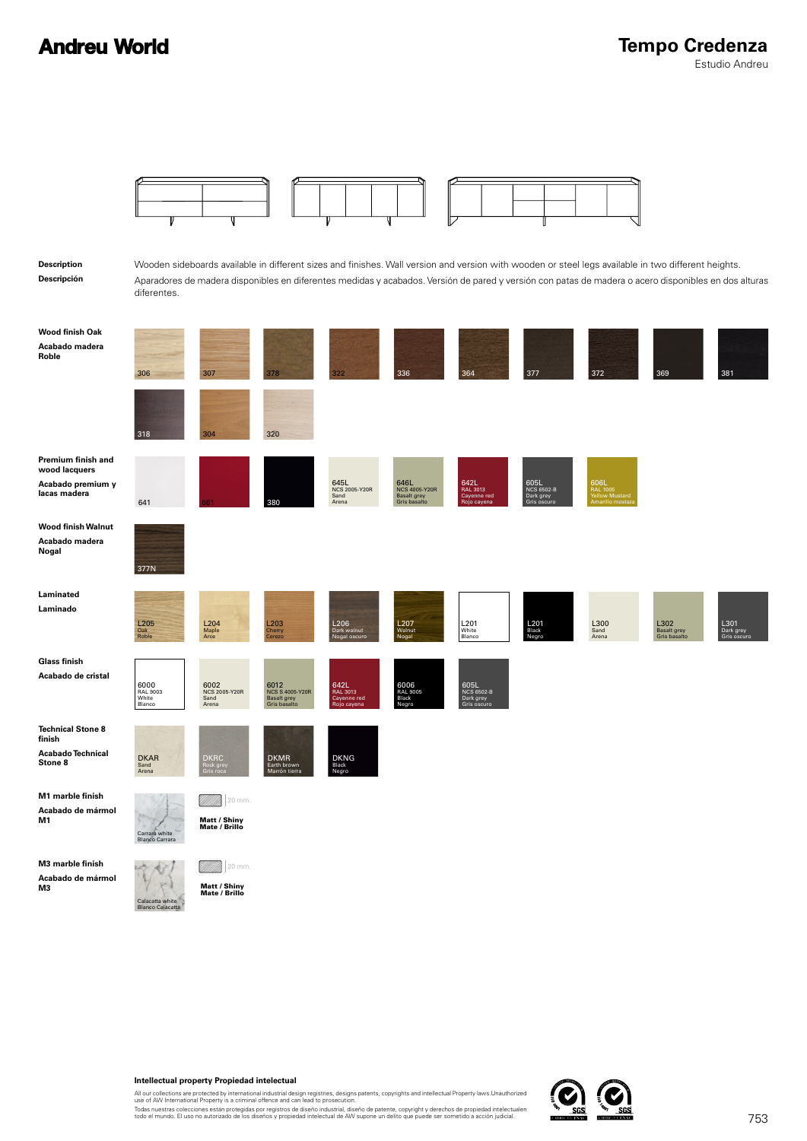

#### **Intellectual property Propiedad intelectual**

All our collections are protected by international industrial design registries, designs patents, copyrights and intellectual Property laws.Unauthorized<br>use of AW International Property is a criminal offence and can lead t

Todas nuestras colecciones están protegidas por registros de diseño industrial, diseño de patente, copyright y derechos de propiedad intelectualen<br>todo el mundo. El uso no autorizado de los diseños y propiedad intelectual

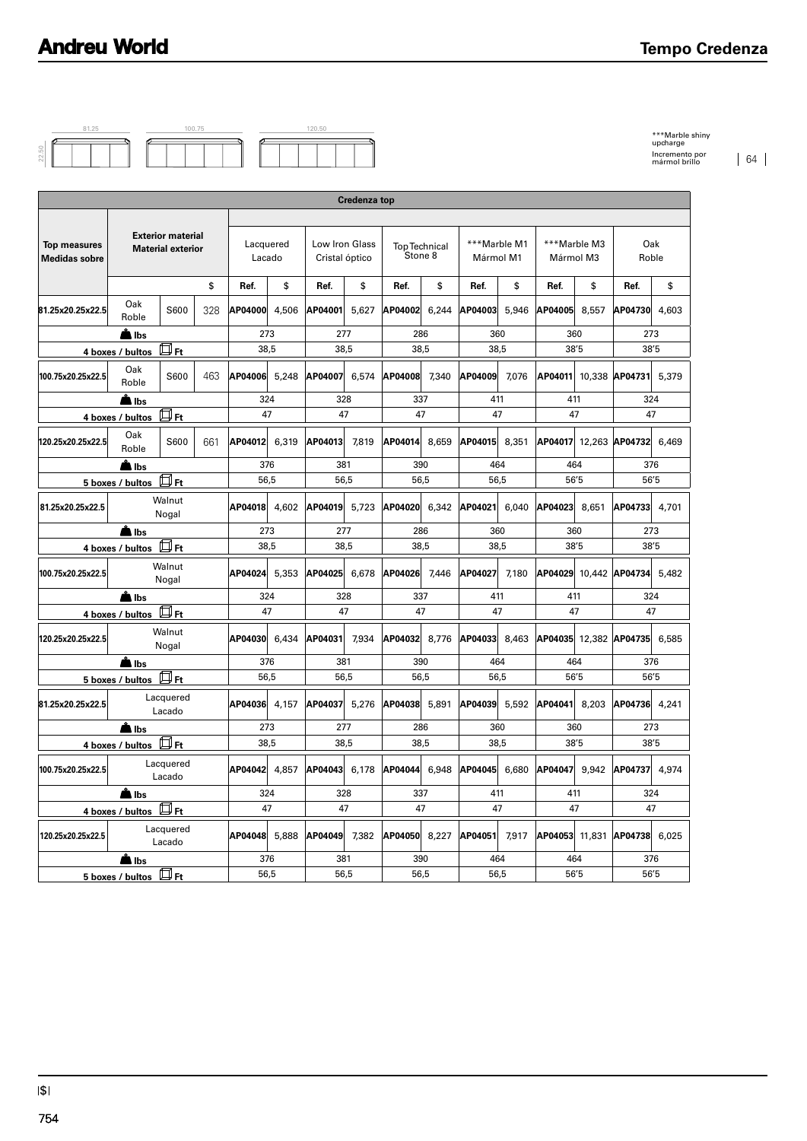

| <b>Exterior material</b><br><b>Material exterior</b><br>\$<br>S600<br>328<br>回 <sub>Ft</sub><br>S600<br>463<br>Дҥ<br>S600<br>661<br>∰н<br>Walnut<br>Nogal<br>4 boxes / bultos HFt | Lacquered<br>Lacado<br>Ref.<br>\$<br>AP04000<br>4,506<br>273<br>38,5<br>5,248<br>AP04006<br>324<br>47<br>AP04012<br>6,319<br>376<br>56,5<br>4,602<br>AP04018<br>273 | Low Iron Glass<br>Cristal óptico<br>Ref.<br>\$<br>AP04001<br>5,627<br>277<br>38,5<br>6,574<br>AP04007<br>328<br>47<br>AP04013<br>7,819<br>381<br>56,5 | <b>Top Technical</b><br>Stone 8<br>Ref.<br>\$<br>AP04002<br>6,244<br>286<br>38,5<br>AP04008<br>7,340<br>337<br>47<br>8,659<br>AP04014<br>390<br>56,5 | ***Marble M1<br>Mármol M1<br>Ref.<br>\$<br>AP04003<br>5,946<br>360<br>38,5<br>7,076<br>AP04009<br>411<br>47<br>8,351<br>AP04015 | ***Marble M3<br>Mármol M3<br>\$<br>Ref.<br>AP04005<br>8,557<br>360<br>38'5<br>10,338<br>AP04011<br>411<br>47<br>AP04017 12,263 AP04732 | Oak<br>Roble<br>\$<br>Ref.<br>AP04730<br>4,603<br>273<br>38'5<br>AP04731<br>5,379<br>324<br>47                                                 |
|-----------------------------------------------------------------------------------------------------------------------------------------------------------------------------------|---------------------------------------------------------------------------------------------------------------------------------------------------------------------|-------------------------------------------------------------------------------------------------------------------------------------------------------|------------------------------------------------------------------------------------------------------------------------------------------------------|---------------------------------------------------------------------------------------------------------------------------------|----------------------------------------------------------------------------------------------------------------------------------------|------------------------------------------------------------------------------------------------------------------------------------------------|
|                                                                                                                                                                                   |                                                                                                                                                                     |                                                                                                                                                       |                                                                                                                                                      |                                                                                                                                 |                                                                                                                                        |                                                                                                                                                |
|                                                                                                                                                                                   |                                                                                                                                                                     |                                                                                                                                                       |                                                                                                                                                      |                                                                                                                                 |                                                                                                                                        |                                                                                                                                                |
|                                                                                                                                                                                   |                                                                                                                                                                     |                                                                                                                                                       |                                                                                                                                                      |                                                                                                                                 |                                                                                                                                        |                                                                                                                                                |
|                                                                                                                                                                                   |                                                                                                                                                                     |                                                                                                                                                       |                                                                                                                                                      |                                                                                                                                 |                                                                                                                                        |                                                                                                                                                |
|                                                                                                                                                                                   |                                                                                                                                                                     |                                                                                                                                                       |                                                                                                                                                      |                                                                                                                                 |                                                                                                                                        |                                                                                                                                                |
|                                                                                                                                                                                   |                                                                                                                                                                     |                                                                                                                                                       |                                                                                                                                                      |                                                                                                                                 |                                                                                                                                        |                                                                                                                                                |
|                                                                                                                                                                                   |                                                                                                                                                                     |                                                                                                                                                       |                                                                                                                                                      |                                                                                                                                 |                                                                                                                                        |                                                                                                                                                |
|                                                                                                                                                                                   |                                                                                                                                                                     |                                                                                                                                                       |                                                                                                                                                      |                                                                                                                                 |                                                                                                                                        |                                                                                                                                                |
|                                                                                                                                                                                   |                                                                                                                                                                     |                                                                                                                                                       |                                                                                                                                                      |                                                                                                                                 |                                                                                                                                        |                                                                                                                                                |
|                                                                                                                                                                                   |                                                                                                                                                                     |                                                                                                                                                       |                                                                                                                                                      |                                                                                                                                 |                                                                                                                                        | 6,469                                                                                                                                          |
|                                                                                                                                                                                   |                                                                                                                                                                     |                                                                                                                                                       |                                                                                                                                                      | 464<br>56,5                                                                                                                     | 464<br>56'5                                                                                                                            | 376<br>56'5                                                                                                                                    |
|                                                                                                                                                                                   |                                                                                                                                                                     | AP04019<br>5,723                                                                                                                                      | AP04020<br>6,342                                                                                                                                     | AP04021<br>6,040                                                                                                                | AP04023<br>8,651                                                                                                                       | AP04733<br>4,701                                                                                                                               |
|                                                                                                                                                                                   |                                                                                                                                                                     | 277                                                                                                                                                   | 286                                                                                                                                                  | 360                                                                                                                             | 360                                                                                                                                    | 273                                                                                                                                            |
|                                                                                                                                                                                   | 38,5                                                                                                                                                                | 38,5                                                                                                                                                  | 38,5                                                                                                                                                 | 38,5                                                                                                                            | 38'5                                                                                                                                   | 38'5                                                                                                                                           |
| Walnut<br>100.75x20.25x22.5<br>Nogal<br>A Ibs                                                                                                                                     |                                                                                                                                                                     | 5,353<br>AP04025<br>6,678                                                                                                                             | AP04026<br>7,446                                                                                                                                     | AP04027<br>7,180                                                                                                                | AP04029                                                                                                                                | 10,442 AP04734<br>5,482                                                                                                                        |
|                                                                                                                                                                                   | 324                                                                                                                                                                 | 328                                                                                                                                                   | 337                                                                                                                                                  | 411                                                                                                                             | 411                                                                                                                                    | 324                                                                                                                                            |
| Д⊓гt                                                                                                                                                                              | 47                                                                                                                                                                  | 47                                                                                                                                                    | 47                                                                                                                                                   | 47                                                                                                                              | 47                                                                                                                                     | 47                                                                                                                                             |
| Walnut<br>Nogal                                                                                                                                                                   | 6,434<br>AP04030                                                                                                                                                    | AP04031<br>7,934                                                                                                                                      | AP04032<br>8,776                                                                                                                                     | AP04033<br>8,463                                                                                                                | AP04035 12,382 AP04735                                                                                                                 | 6,585                                                                                                                                          |
|                                                                                                                                                                                   | 376                                                                                                                                                                 | 381                                                                                                                                                   | 390                                                                                                                                                  | 464                                                                                                                             | 464                                                                                                                                    | 376                                                                                                                                            |
|                                                                                                                                                                                   |                                                                                                                                                                     |                                                                                                                                                       |                                                                                                                                                      |                                                                                                                                 |                                                                                                                                        | 56'5                                                                                                                                           |
| Lacado                                                                                                                                                                            |                                                                                                                                                                     | AP04037                                                                                                                                               | AP04038<br>5,891                                                                                                                                     | AP04039<br>5,592                                                                                                                | 8,203                                                                                                                                  | AP04736 4.241                                                                                                                                  |
|                                                                                                                                                                                   | 38,5                                                                                                                                                                | 38,5                                                                                                                                                  | 38,5                                                                                                                                                 | 38,5                                                                                                                            | 38'5                                                                                                                                   | 273<br>38'5                                                                                                                                    |
| Lacquered                                                                                                                                                                         |                                                                                                                                                                     |                                                                                                                                                       |                                                                                                                                                      |                                                                                                                                 |                                                                                                                                        |                                                                                                                                                |
|                                                                                                                                                                                   | 324                                                                                                                                                                 | 328                                                                                                                                                   | 337                                                                                                                                                  | 411                                                                                                                             | 411                                                                                                                                    | 324                                                                                                                                            |
| $4$ boxes / bultos $\overline{\Box}$ Ft                                                                                                                                           | 47                                                                                                                                                                  | 47                                                                                                                                                    | 47                                                                                                                                                   | 47                                                                                                                              | 47                                                                                                                                     | 47                                                                                                                                             |
| Lacquered<br>Lacado                                                                                                                                                               |                                                                                                                                                                     |                                                                                                                                                       |                                                                                                                                                      |                                                                                                                                 |                                                                                                                                        |                                                                                                                                                |
|                                                                                                                                                                                   |                                                                                                                                                                     |                                                                                                                                                       |                                                                                                                                                      |                                                                                                                                 |                                                                                                                                        | 376<br>56'5                                                                                                                                    |
|                                                                                                                                                                                   | $\frac{5 \text{ boxes}}{1}$ bultos $\Box$ Ft<br>Lacquered<br>回 <sub>Ft</sub><br>Lacado<br>5 boxes / bultos $\mathbb H$ Ft                                           | 56,5<br>273<br>376<br>56,5                                                                                                                            | 56,5<br>AP04036 4,157<br>5,276<br>277<br>AP04042 4,857<br>AP04048 5,888<br>AP04049 7,382<br>381<br>56,5                                              | 56,5<br>286<br>390<br>56,5                                                                                                      | 56,5<br>360<br>AP04050 8,227 AP04051 7,917<br>464<br>56,5                                                                              | 56'5<br>AP04041<br>360<br>AP04043 6,178 AP04044 6,948 AP04045 6,680 AP04047 9,942 AP04737 4,974<br>AP04053 11,831 AP04738 6,025<br>464<br>56'5 |

\*\*\*Marble shiny upcharge Incremento por mármol brillo 64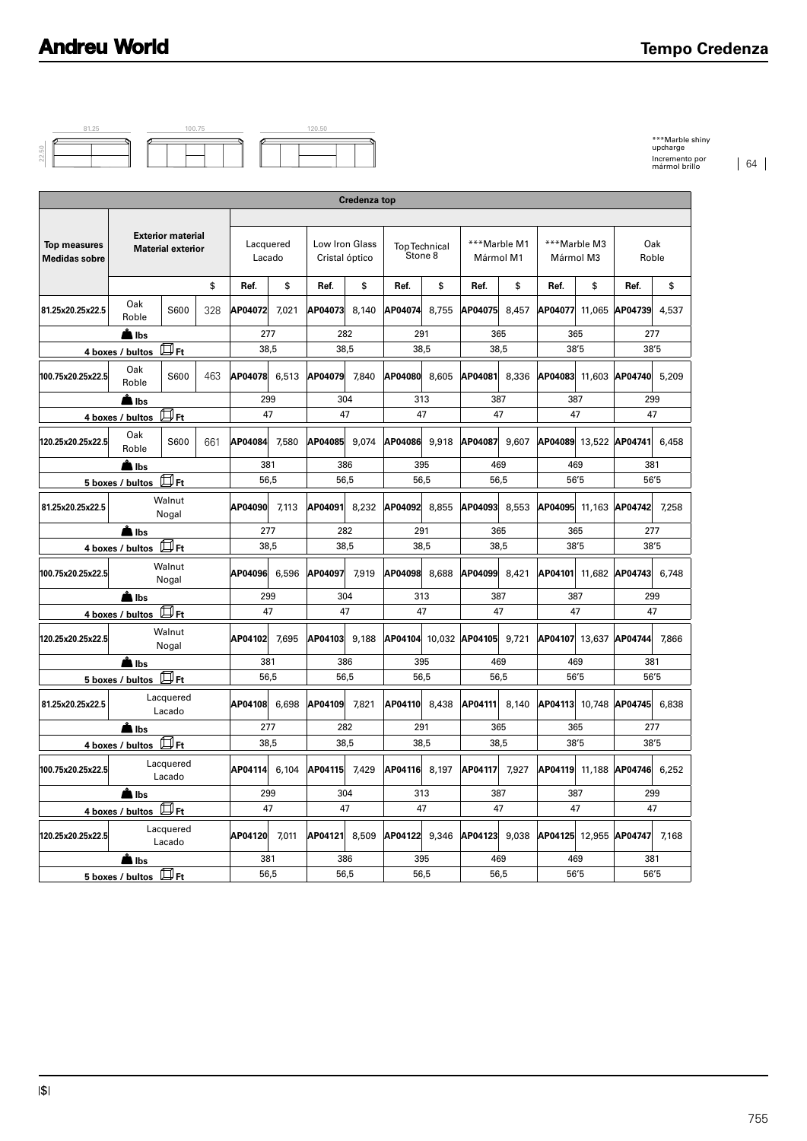

| <b>Credenza top</b>                         |                                                          |                                                      |      |                     |              |                                  |       |                                 |       |                           |       |                           |        |                              |       |
|---------------------------------------------|----------------------------------------------------------|------------------------------------------------------|------|---------------------|--------------|----------------------------------|-------|---------------------------------|-------|---------------------------|-------|---------------------------|--------|------------------------------|-------|
|                                             |                                                          |                                                      |      |                     |              |                                  |       |                                 |       |                           |       |                           |        |                              |       |
| <b>Top measures</b><br><b>Medidas sobre</b> |                                                          | <b>Exterior material</b><br><b>Material exterior</b> |      | Lacquered<br>Lacado |              | Low Iron Glass<br>Cristal óptico |       | <b>Top Technical</b><br>Stone 8 |       | ***Marble M1<br>Mármol M1 |       | ***Marble M3<br>Mármol M3 |        | Oak<br>Roble                 |       |
|                                             |                                                          |                                                      | \$   | Ref.                | \$           | Ref.                             | \$    | Ref.                            | \$    | Ref.                      | \$    | Ref.                      | \$     | Ref.                         | \$    |
| 81.25x20.25x22.5                            | Oak<br>Roble                                             | S600                                                 | 328  | AP04072             | 7.021        | AP04073                          | 8,140 | AP04074                         | 8.755 | AP04075                   | 8.457 | AP04077                   | 11,065 | AP04739                      | 4.537 |
|                                             | A Ibs                                                    |                                                      |      | 277                 |              | 282                              |       | 291                             |       | 365                       |       | 365                       |        | 277                          |       |
|                                             | 4 boxes / bultos                                         | 口 <sub>Ft</sub>                                      |      | 38.5                |              | 38.5                             |       | 38.5                            |       | 38.5                      |       | 38'5                      |        | 38'5                         |       |
| 100.75x20.25x22.5                           | Oak<br>Roble                                             | S600                                                 | 463  | AP04078 6,513       |              | AP04079                          | 7.840 | AP04080                         | 8,605 | AP04081                   | 8,336 | AP04083 11,603            |        | AP04740 5,209                |       |
|                                             | A Ibs                                                    |                                                      |      | 299                 |              | 304                              |       | 313                             |       | 387                       |       | 387                       |        | 299                          |       |
|                                             | 4 boxes / bultos                                         | 口 Ft                                                 |      | 47                  |              | 47                               |       | 47                              |       | 47                        |       | 47                        |        | 47                           |       |
| 120.25x20.25x22.5                           | Oak<br>Roble                                             | S600                                                 | 661  | AP04084             | 7,580        | AP04085                          | 9.074 | AP04086                         | 9,918 | AP04087                   | 9,607 | AP04089 13,522            |        | AP04741                      | 6.458 |
|                                             | A Ibs                                                    |                                                      |      | 381                 |              | 386                              |       | 395                             |       | 469                       |       | 469                       |        | 381                          |       |
|                                             | 5 boxes / bultos                                         | $\Box$ Ft                                            |      |                     | 56,5<br>56,5 |                                  | 56,5  |                                 | 56,5  |                           | 56'5  |                           | 56'5   |                              |       |
| 81.25x20.25x22.5                            | Walnut<br>Nogal                                          |                                                      |      | AP04090             | 7.113        | AP04091                          | 8.232 | AP04092                         | 8.855 | AP04093                   | 8.553 |                           |        | AP04095 11.163 AP04742       | 7.258 |
|                                             | <b>A</b> lbs                                             |                                                      |      | 277                 |              | 282                              |       | 291                             |       | 365                       |       | 365                       |        | 277                          |       |
| $\Box$ Ft<br>4 boxes / bultos               |                                                          |                                                      | 38,5 |                     | 38,5         |                                  | 38,5  |                                 | 38,5  |                           | 38'5  |                           | 38'5   |                              |       |
| 100.75x20.25x22.5                           |                                                          | Walnut<br>Nogal                                      |      | AP04096             | 6,596        | AP04097                          | 7,919 | AP04098                         | 8,688 | AP04099                   | 8,421 | AP04101                   | 11,682 | AP04743                      | 6,748 |
|                                             | <b>A</b> llbs                                            |                                                      |      | 299                 |              | 304                              |       | 313                             |       | 387                       |       | 387                       |        | 299                          |       |
|                                             | $\overline{4}$ boxes / bultos $\overline{\mathbb{D}}$ Ft |                                                      |      | 47                  |              | 47                               |       | 47                              |       | 47                        |       | 47                        |        | 47                           |       |
| 120.25x20.25x22.5                           |                                                          | Walnut<br>Nogal                                      |      | AP04102             | 7,695        | AP04103                          | 9,188 | AP04104 10,032 AP04105 9,721    |       |                           |       |                           |        | AP04107 13,637 AP04744 7,866 |       |
|                                             | A Ibs                                                    |                                                      |      | 381                 |              | 386                              |       | 395                             |       | 469                       |       | 469                       |        | 381                          |       |
|                                             | $\frac{5 \text{ boxes}}{1 \text{ bytes}}$                |                                                      |      | 56,5                |              | 56,5                             |       | 56,5                            |       | 56,5                      |       | 56'5                      |        | 56'5                         |       |
| 81.25x20.25x22.5                            |                                                          | Lacquered<br>Lacado                                  |      | AP04108             | 6.698        | AP04109                          | 7.821 | AP04110                         | 8,438 | AP04111                   | 8,140 | AP04113 10.748            |        | AP04745                      | 6.838 |
|                                             | Albs                                                     |                                                      |      | 277                 |              | 282                              |       | 291                             |       | 365                       |       | 365                       |        | 277                          |       |
|                                             | 4 boxes / bultos Ft                                      |                                                      |      | 38,5                |              | 38,5                             |       | 38,5                            |       | 38.5                      |       | 38'5                      |        | 38'5                         |       |
| 100.75x20.25x22.5                           |                                                          | Lacquered<br>Lacado                                  |      | AP04114             | 6.104        | AP04115                          | 7.429 | AP04116                         | 8.197 | AP04117                   | 7.927 | AP04119 11.188            |        | AP04746                      | 6.252 |
|                                             | <b>A</b> lbs                                             |                                                      |      | 299                 |              | 304                              |       | 313                             |       | 387                       |       | 387                       |        | 299                          |       |
|                                             | 4 boxes / bultos                                         | 口 <sub>Ft</sub>                                      |      | 47                  |              | 47                               |       | 47                              |       | 47                        |       | 47                        |        | 47                           |       |
| 120.25x20.25x22.5                           |                                                          | Lacquered<br>Lacado                                  |      | AP04120             | 7,011        | AP04121 8.509                    |       | AP04122                         | 9,346 | AP04123                   | 9,038 | AP04125 12,955            |        | AP04747                      | 7.168 |
|                                             | ll Ibs                                                   |                                                      |      | 381                 |              | 386                              |       | 395                             |       | 469                       |       | 469                       |        | 381                          |       |
|                                             | $\overline{5}$ boxes / bultos $\overline{\mathbb{D}}$ Ft |                                                      |      |                     | 56,5         |                                  | 56,5  | 56,5                            |       | 56,5                      |       | 56'5                      |        | 56'5                         |       |

\*\*\*Marble shiny upcharge Incremento por mármol brillo 64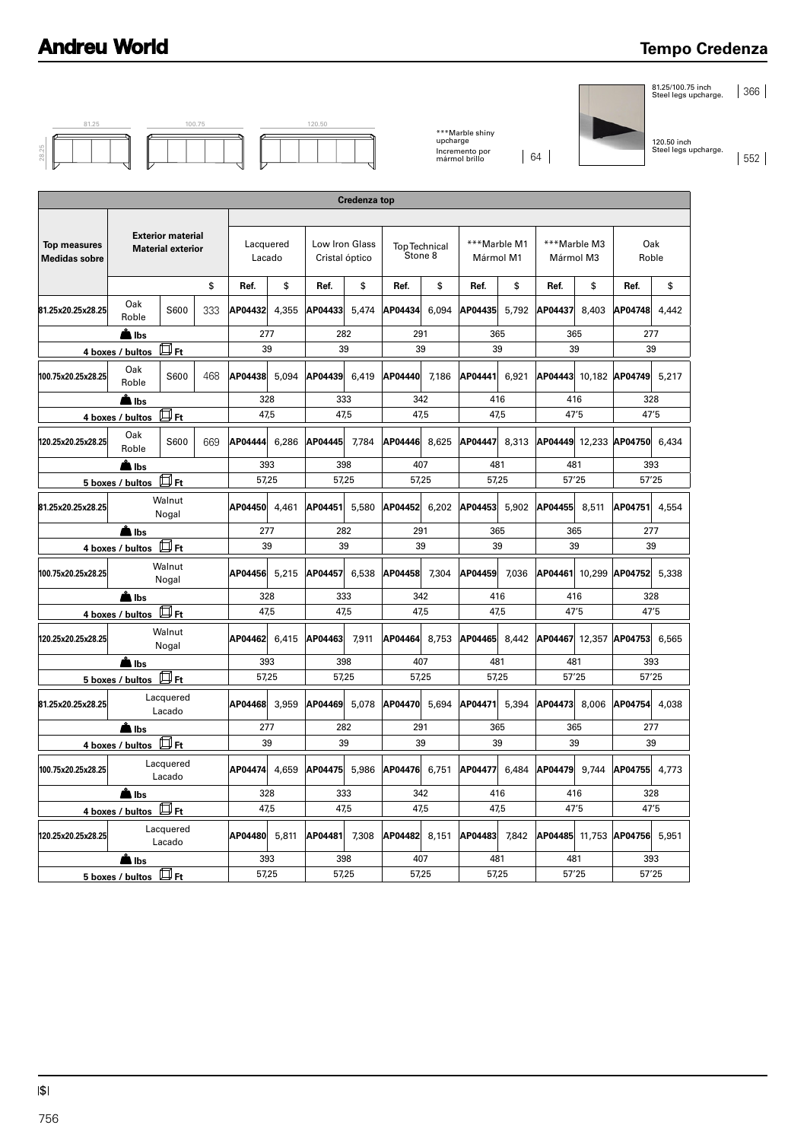#### **Tempo Credenza**

| 81.25 |  | 100.75 |  |  |  |
|-------|--|--------|--|--|--|
|       |  |        |  |  |  |
|       |  |        |  |  |  |

|  | 120.50 |  |  |  |  |  |  |  |  |  |  |
|--|--------|--|--|--|--|--|--|--|--|--|--|
|  |        |  |  |  |  |  |  |  |  |  |  |
|  |        |  |  |  |  |  |  |  |  |  |  |

\*\*\*Marble shiny upcharge Incremento por mármol brillo 64

81.25/100.75 inch Steel legs upcharge. 366

120.50 inch Steel legs upcharge.

552

|                                             |                                                            |                                                      |     |                     |              |                                  |                     |                                                                                                |           | Incremento por<br>mármol brillo |           | 64                           |                           |                              | Steel legs   |
|---------------------------------------------|------------------------------------------------------------|------------------------------------------------------|-----|---------------------|--------------|----------------------------------|---------------------|------------------------------------------------------------------------------------------------|-----------|---------------------------------|-----------|------------------------------|---------------------------|------------------------------|--------------|
|                                             |                                                            |                                                      |     |                     |              |                                  |                     |                                                                                                |           |                                 |           |                              |                           |                              |              |
|                                             |                                                            |                                                      |     |                     |              |                                  | <b>Credenza top</b> |                                                                                                |           |                                 |           |                              |                           |                              |              |
| <b>Top measures</b><br><b>Medidas sobre</b> |                                                            | <b>Exterior material</b><br><b>Material exterior</b> |     | Lacquered<br>Lacado |              | Low Iron Glass<br>Cristal óptico |                     | <b>Top Technical</b><br>Stone 8                                                                |           | ***Marble M1<br>Mármol M1       |           |                              | ***Marble M3<br>Mármol M3 |                              | Oak<br>Roble |
|                                             |                                                            |                                                      | \$  | Ref.                | \$           | Ref.                             | \$                  | Ref.                                                                                           | \$        | Ref.                            | \$        | Ref.                         | \$                        | Ref.                         | \$           |
| 81.25x20.25x28.25                           | Oak<br>Roble                                               | S600                                                 | 333 | AP04432             | 4,355        | AP04433                          | 5,474               | AP04434                                                                                        | 6,094     | AP04435                         | 5,792     | AP04437                      | 8,403                     | AP04748                      | 4,442        |
|                                             | <b>A</b> lbs                                               | 回 <sub>Ft</sub>                                      |     | 277<br>39           |              | 282<br>39                        |                     | 291<br>39                                                                                      |           | 365<br>39                       |           |                              | 365<br>39                 |                              | 277<br>39    |
| 100.75x20.25x28.25                          | 4 boxes / bultos<br>Oak                                    | S600                                                 | 468 | AP04438             | 5,094        | AP04439                          | 6,419               | AP04440                                                                                        | 7,186     | AP04441                         | 6,921     | AP04443                      |                           | 10,182 AP04749               | 5,217        |
|                                             | Roble<br>A Ibs                                             |                                                      |     | 328                 |              | 333                              |                     | 342                                                                                            |           | 416                             |           |                              | 416                       |                              | 328          |
|                                             | 4 boxes / bultos                                           | 口Ft                                                  |     |                     | 47,5         | 47,5                             |                     | 47,5                                                                                           |           | 47,5                            |           |                              | 47'5                      |                              | 47'5         |
| 120.25x20.25x28.25                          | Oak<br>Roble                                               | S600                                                 | 669 | AP04444             | 6,286        | AP04445                          | 7,784               | AP04446                                                                                        | 8,625     | AP04447                         | 8,313     |                              |                           | AP04449 12.233 AP04750 6.434 |              |
|                                             | <b>A</b> lbs                                               |                                                      |     | 393                 |              | 398                              |                     | 407                                                                                            |           | 481                             |           |                              | 481                       |                              | 393          |
|                                             | 5 boxes / bultos                                           | $\Box$ Ft                                            |     |                     | 57,25        | 57,25                            |                     | 57,25                                                                                          |           | 57,25                           |           |                              | 57'25                     |                              | 57'25        |
| 81.25x20.25x28.25                           |                                                            | Walnut<br>Nogal                                      |     | AP04450             | 4,461        | AP04451                          | 5,580               | AP04452                                                                                        | 6,202     | AP04453                         | 5.902     | AP04455                      | 8,511                     | AP04751                      | 4,554        |
|                                             | Albs<br>4 boxes / bultos                                   | 回ғt                                                  |     |                     | 277<br>39    |                                  | 282<br>39           |                                                                                                | 291<br>39 |                                 | 365<br>39 |                              | 365<br>39                 |                              | 277<br>39    |
| 100.75x20.25x28.25                          |                                                            | Walnut<br>Nogal                                      |     | AP04456 5,215       |              | AP04457                          | 6,538               | AP04458                                                                                        | 7,304     | AP04459                         | 7,036     | AP04461                      |                           | 10,299 AP04752 5,338         |              |
|                                             | <b>A</b> Ibs                                               |                                                      |     | 328                 |              | 333                              |                     | 342                                                                                            |           | 416                             |           |                              | 416                       |                              | 328          |
|                                             | 4 boxes / bultos $\Box$ Ft                                 |                                                      |     |                     | 47,5         | 47,5                             |                     | 47,5                                                                                           |           | 47,5                            |           |                              | 47'5                      |                              | 47'5         |
| 120.25x20.25x28.25                          |                                                            | Walnut<br>Nogal                                      |     | AP04462 6,415       |              | AP04463                          | 7,911               | AP04464                                                                                        | 8,753     | AP04465                         | 8,442     |                              |                           | AP04467 12,357 AP04753 6,565 |              |
|                                             | A Ibs<br>5 boxes / bultos [J Ft                            |                                                      |     | 393<br>57,25        |              | 398<br>57,25                     |                     | 407<br>57,25                                                                                   |           | 481                             | 57,25     |                              | 481<br>57'25              |                              | 393<br>57'25 |
| 81.25x20.25x28.25                           |                                                            | Lacquered                                            |     | AP04468 3,959       |              | AP04469                          | 5,078               | AP04470                                                                                        | 5,694     | AP04471                         | 5,394     | AP04473                      | 8,006                     | AP04754 4,038                |              |
|                                             | libs                                                       | Lacado                                               |     | 277                 |              | 282                              |                     | 291                                                                                            |           | 365                             |           |                              | 365                       |                              | 277          |
|                                             | $\frac{4 \text{ boxes}}{1 \text{ bytes}}$ bultos $\Box$ Ft |                                                      |     | 39                  |              | 39                               |                     | 39                                                                                             |           | 39                              |           |                              | 39                        |                              | 39           |
| 100.75x20.25x28.25                          |                                                            | Lacquered<br>Lacado                                  |     |                     |              |                                  |                     | AP04474  4,659  AP04475  5,986  AP04476  6,751  AP04477  6,484  AP04479  9,744  AP04755  4,773 |           |                                 |           |                              |                           |                              |              |
|                                             | A Ibs                                                      |                                                      |     |                     | 328          | 333                              |                     | 342                                                                                            |           | 416                             |           |                              | 416                       |                              | 328          |
|                                             | $4$ boxes / bultos $\overline{\Box}$ Ft                    |                                                      |     |                     | 47,5         | 47,5                             |                     | 47,5                                                                                           |           |                                 | 47,5      |                              | 47'5                      |                              | 47'5         |
| 120.25x20.25x28.25                          |                                                            | Lacquered<br>Lacado                                  |     | AP04480 5,811       |              | AP04481 7,308                    |                     | AP04482 8,151 AP04483 7,842                                                                    |           |                                 |           | AP04485 11,753 AP04756 5,951 |                           |                              |              |
|                                             | <b>A</b> lbs                                               |                                                      |     |                     | 393<br>57,25 | 398<br>57,25                     |                     | 407<br>57,25                                                                                   |           | 481                             | 57,25     |                              | 481<br>57'25              |                              | 393<br>57'25 |
|                                             | $\frac{5 \text{ boxes}}{1 \text{ bytes}}$                  |                                                      |     |                     |              |                                  |                     |                                                                                                |           |                                 |           |                              |                           |                              |              |
|                                             |                                                            |                                                      |     |                     |              |                                  |                     |                                                                                                |           |                                 |           |                              |                           |                              |              |
|                                             |                                                            |                                                      |     |                     |              |                                  |                     |                                                                                                |           |                                 |           |                              |                           |                              |              |
|                                             |                                                            |                                                      |     |                     |              |                                  |                     |                                                                                                |           |                                 |           |                              |                           |                              |              |
|                                             |                                                            |                                                      |     |                     |              |                                  |                     |                                                                                                |           |                                 |           |                              |                           |                              |              |
|                                             |                                                            |                                                      |     |                     |              |                                  |                     |                                                                                                |           |                                 |           |                              |                           |                              |              |
|                                             |                                                            |                                                      |     |                     |              |                                  |                     |                                                                                                |           |                                 |           |                              |                           |                              |              |
|                                             |                                                            |                                                      |     |                     |              |                                  |                     |                                                                                                |           |                                 |           |                              |                           |                              |              |
| $ \mathbf{\$} $                             |                                                            |                                                      |     |                     |              |                                  |                     |                                                                                                |           |                                 |           |                              |                           |                              |              |
| 756                                         |                                                            |                                                      |     |                     |              |                                  |                     |                                                                                                |           |                                 |           |                              |                           |                              |              |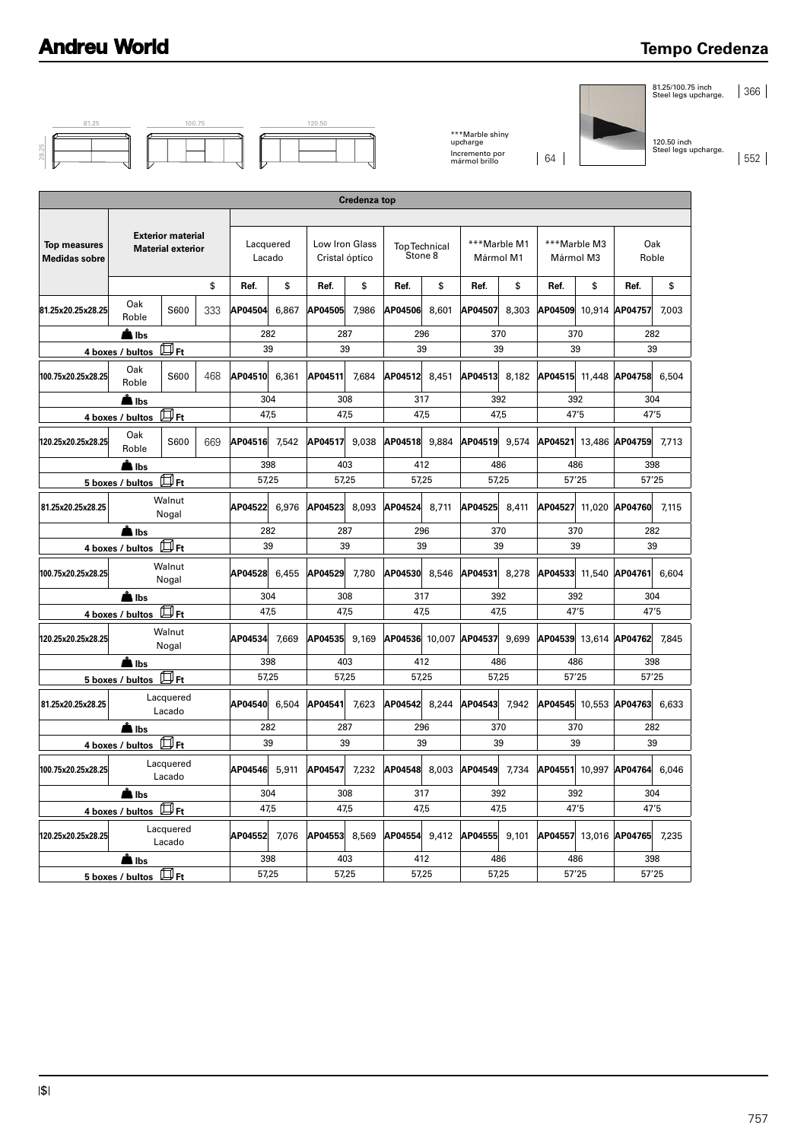#### **Tempo Credenza**

81.25/100.75 inch Steel legs upcharge. 366

|       | 81.25 |  |
|-------|-------|--|
| 28.25 |       |  |

| 81.25 | 100.75 | 120.50 |
|-------|--------|--------|
|       |        |        |

\*\*\*Marble shiny upcharge Incremento por mármol brillo 64

120.50 inch Steel legs upcharge. 552

|                                                    | <b>Credenza top</b>   |                                                      |     |                     |       |                                  |       |                                 |       |                           |       |                |              |                              |       |
|----------------------------------------------------|-----------------------|------------------------------------------------------|-----|---------------------|-------|----------------------------------|-------|---------------------------------|-------|---------------------------|-------|----------------|--------------|------------------------------|-------|
|                                                    |                       |                                                      |     |                     |       |                                  |       |                                 |       |                           |       |                |              |                              |       |
| <b>Top measures</b><br><b>Medidas sobre</b>        |                       | <b>Exterior material</b><br><b>Material exterior</b> |     | Lacquered<br>Lacado |       | Low Iron Glass<br>Cristal óptico |       | <b>Top Technical</b><br>Stone 8 |       | ***Marble M1<br>Mármol M1 |       | Mármol M3      | ***Marble M3 | Oak<br>Roble                 |       |
|                                                    |                       |                                                      | \$  | Ref.                | \$    | Ref.                             | \$    | Ref.                            | \$    | Ref.                      | \$    | Ref.           | \$           | Ref.                         | \$    |
| 81.25x20.25x28.25                                  | Oak<br>Roble          | S600                                                 | 333 | AP04504             | 6,867 | AP04505                          | 7,986 | AP04506                         | 8,601 | AP04507                   | 8,303 |                |              | AP04509 10,914 AP04757       | 7,003 |
|                                                    | A Ibs                 |                                                      |     |                     | 282   | 287                              |       | 296                             |       | 370                       |       | 370            |              | 282                          |       |
|                                                    | 4 boxes / bultos      | $\boxplus$ Ft                                        |     |                     | 39    | 39                               |       | 39                              |       | 39                        |       | 39             |              | 39                           |       |
| 100.75x20.25x28.25                                 | Oak<br>Roble          | S600                                                 | 468 | AP04510             | 6.361 | AP04511                          | 7.684 | AP04512 8.451                   |       | AP04513                   | 8.182 |                |              | AP04515 11.448 AP04758 6.504 |       |
|                                                    | A Ibs                 |                                                      |     |                     | 304   | 308                              |       | 317                             |       | 392                       |       | 392            |              | 304                          |       |
|                                                    | 4 boxes / bultos      | 口 <sub>Ft</sub>                                      |     |                     | 47.5  | 47.5                             |       | 47.5                            |       | 47.5                      |       | 47'5           |              | 47'5                         |       |
| 120.25x20.25x28.25                                 | Oak<br>Roble          | S600                                                 | 669 | AP04516 7.542       |       | AP04517                          | 9.038 | AP04518 9.884                   |       | AP04519                   | 9.574 |                |              | AP04521 13.486 AP04759 7.713 |       |
|                                                    | <b>A</b> lbs          |                                                      |     | 398                 |       | 403                              |       | 412                             |       | 486                       |       | 486            |              | 398                          |       |
|                                                    | 5 boxes / bultos DFt  |                                                      |     | 57,25               |       | 57,25                            |       | 57.25                           |       | 57,25                     |       | 57'25          |              | 57'25                        |       |
| 81.25x20.25x28.25                                  | Walnut<br>Nogal       |                                                      |     | AP04522 6.976       |       | AP04523                          | 8.093 | AP04524 8,711                   |       | AP04525                   | 8.411 | AP04527 11,020 |              | AP04760 7,115                |       |
|                                                    | A Ibs                 |                                                      |     |                     | 282   | 287                              |       | 296                             |       | 370                       |       | 370            |              | 282                          |       |
| $\overline{4}$ boxes / bultos $\overline{\Box}$ Ft |                       | 39                                                   |     | 39                  |       | 39                               |       | 39                              |       | 39                        |       | 39             |              |                              |       |
| 100.75x20.25x28.25                                 |                       | Walnut<br>Nogal                                      |     | AP04528 6,455       |       | AP04529                          | 7.780 | AP04530 8,546                   |       | AP04531 8,278             |       |                |              | AP04533 11,540 AP04761 6,604 |       |
|                                                    | <b>A</b> lbs          |                                                      |     | 304                 |       | 308                              |       | 317                             |       | 392                       |       | 392            |              | 304                          |       |
|                                                    | 4 boxes / bultos H Ft |                                                      |     | 47.5                |       | 47.5                             |       | 47.5                            |       | 47.5                      |       | 47'5           |              | 47'5                         |       |
| 120.25x20.25x28.25                                 |                       | Walnut<br>Nogal                                      |     | AP04534             | 7,669 | AP04535                          | 9.169 |                                 |       | AP04536 10.007 AP04537    | 9.699 |                |              | AP04539 13.614 AP04762 7.845 |       |
|                                                    | <b>A</b> lbs          |                                                      |     |                     | 398   | 403                              |       | 412                             |       | 486                       |       | 486            |              | 398                          |       |
|                                                    | 5 boxes / bultos Ft   |                                                      |     | 57,25               |       | 57,25                            |       | 57,25                           |       | 57,25                     |       | 57'25          |              | 57'25                        |       |
| 81.25x20.25x28.25                                  |                       | Lacquered<br>Lacado                                  |     | AP04540 6.504       |       | AP04541                          | 7.623 | AP04542                         | 8.244 | AP04543                   | 7.942 |                |              | AP04545 10,553 AP04763 6,633 |       |
|                                                    | Ä Ibs                 |                                                      |     |                     | 282   | 287                              |       | 296                             |       | 370                       |       | 370            |              | 282                          |       |
|                                                    | 4 boxes / bultos Ft   |                                                      |     | 39                  |       | 39                               |       | 39                              |       | 39                        |       | 39             |              | 39                           |       |
| 100.75x20.25x28.25                                 |                       | Lacquered<br>Lacado                                  |     | AP04546             | 5,911 | AP04547                          | 7,232 | AP04548 8,003                   |       | AP04549                   | 7,734 |                |              | AP04551 10,997 AP04764 6,046 |       |
|                                                    | A Ibs                 |                                                      |     |                     | 304   | 308                              |       | 317                             |       | 392                       |       | 392            |              | 304                          |       |
|                                                    | 4 boxes / bultos Ft   |                                                      |     | 47,5                |       | 47.5                             |       | 47.5                            |       | 47.5                      |       | 47'5           |              | 47'5                         |       |
| 120.25x20.25x28.25                                 |                       | Lacquered<br>Lacado                                  |     | AP04552 7,076       |       | AP04553                          | 8,569 | AP04554 9.412                   |       | AP04555                   | 9.101 |                |              | AP04557 13,016 AP04765 7,235 |       |
|                                                    | <b>L</b> Ibs          |                                                      |     |                     | 398   | 403                              |       | 412                             |       | 486                       |       | 486            |              | 398                          |       |
|                                                    | 5 boxes / bultos Ft   |                                                      |     | 57,25               |       |                                  | 57,25 |                                 | 57.25 |                           | 57,25 |                | 57'25        |                              | 57'25 |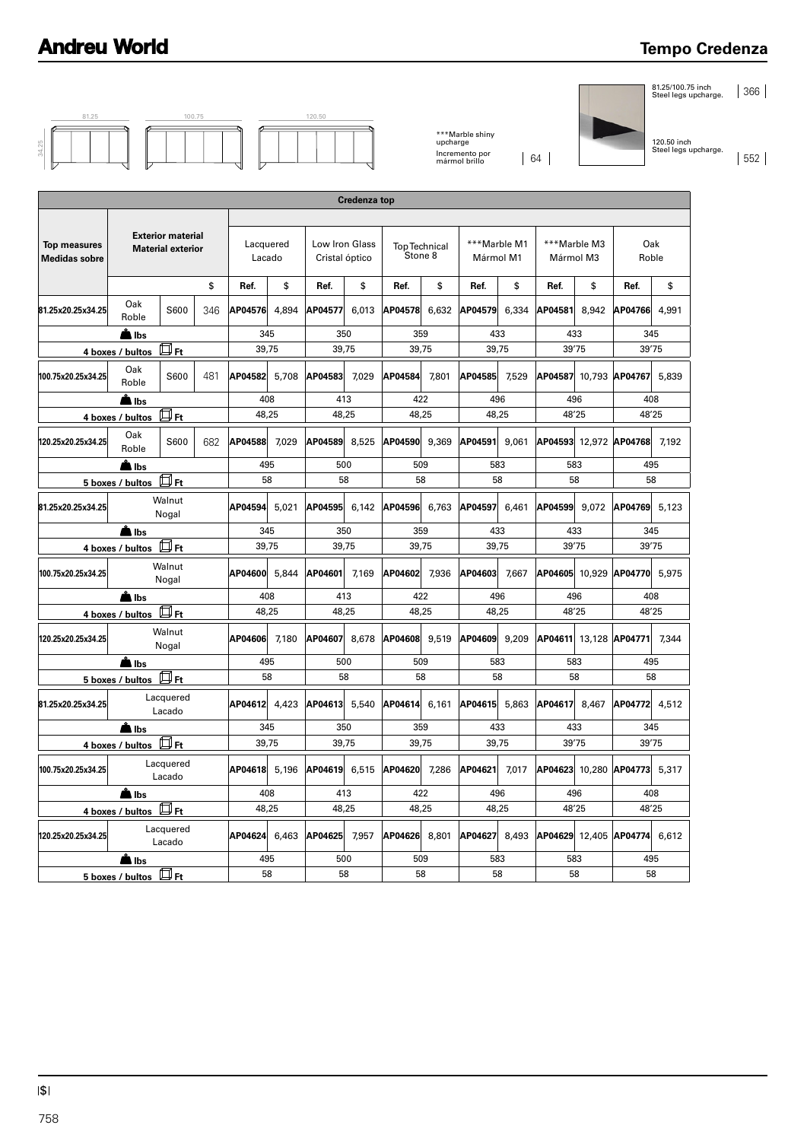#### **Tempo Credenza**

81.25/100.75 inch Steel legs upcharge. 366

| c<br>Ñ<br>d |  |  |
|-------------|--|--|
|             |  |  |
|             |  |  |

81.25 **100.75** 100.75 **120.50** 

\*\*\*Marble shiny upcharge Incremento por mármol brillo 64

120.50 inch Steel legs upcharge. 552

| <b>Top measures</b><br><b>Medidas sobre</b><br>81.25x20.25x34.25<br>4 boxes / bultos | <b>Exterior material</b><br><b>Material exterior</b><br>Oak<br>S600<br>Roble<br>A Ibs | \$<br>346 | Ref.<br>AP04576  | \$<br>4,894 | Ref.             |                                                         |                  |                                 | ***Marble M1<br>Mármol M1 |         |                              |                              |                              |       |
|--------------------------------------------------------------------------------------|---------------------------------------------------------------------------------------|-----------|------------------|-------------|------------------|---------------------------------------------------------|------------------|---------------------------------|---------------------------|---------|------------------------------|------------------------------|------------------------------|-------|
|                                                                                      |                                                                                       |           |                  |             |                  | Lacquered<br>Low Iron Glass<br>Lacado<br>Cristal óptico |                  | <b>Top Technical</b><br>Stone 8 |                           |         | ***Marble M3<br>Mármol M3    |                              | Oak<br>Roble                 |       |
|                                                                                      |                                                                                       |           |                  |             |                  | \$                                                      | Ref.             | \$                              | Ref.                      | \$      | Ref.                         | \$                           | Ref.                         | \$    |
|                                                                                      |                                                                                       |           | 345              |             | AP04577          | 6,013                                                   | AP04578          | 6,632                           | AP04579                   | 6,334   | AP04581                      | 8,942                        | AP04766                      | 4,991 |
|                                                                                      | $\overline{\mathbb{D}}$ Ft                                                            |           | 39,75            |             | 350<br>39,75     |                                                         | 359<br>39,75     |                                 | 433<br>39,75              |         | 433<br>39'75                 |                              | 345<br>39'75                 |       |
| 100.75x20.25x34.25                                                                   | Oak<br>S600                                                                           | 481       | AP04582          | 5,708       | AP04583          | 7,029                                                   | AP04584          | 7,801                           | AP04585                   | 7,529   | AP04587                      |                              | 10,793 AP04767               | 5,839 |
|                                                                                      | Roble                                                                                 |           |                  |             |                  |                                                         | 422              |                                 |                           |         |                              |                              |                              |       |
| 4 boxes / bultos                                                                     | Albs<br>回 <sub>Ft</sub>                                                               |           | 408<br>48,25     |             | 413<br>48,25     |                                                         | 48,25            |                                 | 496<br>48,25              |         | 496<br>48'25                 |                              | 408<br>48'25                 |       |
| 120.25x20.25x34.25                                                                   | Oak<br>S600<br>Roble                                                                  | 682       | AP04588          | 7,029       | AP04589          | 8,525                                                   | AP04590          | 9,369                           | AP04591                   | 9,061   | AP04593                      |                              | 12,972 AP04768               | 7,192 |
|                                                                                      | <u>Å</u> Ibs                                                                          |           | 495              |             | 500              |                                                         | 509              |                                 | 583                       |         | 583                          |                              | 495                          |       |
| 5 boxes / bultos                                                                     | Дn                                                                                    |           | 58               |             | 58               |                                                         | 58               |                                 | 58                        |         | 58                           |                              | 58                           |       |
| 81.25x20.25x34.25                                                                    | Walnut<br>Nogal                                                                       |           | AP04594          | 5,021       | AP04595          | 6,142                                                   | AP04596          | 6,763                           | AP04597                   | 6,461   | AP04599                      | 9,072                        | AP04769                      | 5,123 |
| 4 boxes / bultos                                                                     | <b>■ Ibs</b><br>口 <sub>Ft</sub>                                                       |           | 345<br>39,75     |             | 350<br>39,75     |                                                         | 359<br>39,75     |                                 | 433<br>39,75              |         |                              | 433<br>345<br>39'75<br>39'75 |                              |       |
| 100.75x20.25x34.25                                                                   | Walnut<br>Nogal                                                                       |           | AP04600          | 5,844       | AP04601          | 7,169                                                   | AP04602          | 7,936                           | AP04603                   | 7,667   | AP04605                      |                              | 10,929 AP04770               | 5,975 |
|                                                                                      | A Ibs                                                                                 |           | 408              |             | 413              |                                                         | 422              |                                 | 496                       |         | 496                          |                              | 408                          |       |
| 4 boxes / bultos                                                                     | $\overline{\mathbb{D}_{\text{Ft}}}$                                                   |           | 48,25            |             | 48,25            |                                                         | 48,25            |                                 | 48,25                     |         | 48'25                        |                              | 48'25                        |       |
| Walnut<br>120.25x20.25x34.25<br>Nogal                                                |                                                                                       | AP04606   | 7,180            | AP04607     | 8,678            | AP04608                                                 | 9,519            | AP04609                         | 9,209                     | AP04611 |                              | 13,128 AP04771               | 7,344                        |       |
|                                                                                      | ∎ Ibs<br>$\overline{5}$ boxes / bultos $\overline{\mathbb{D}}$ Ft                     |           | 495<br>58        |             | 500<br>58        |                                                         | 509<br>58        |                                 | 583<br>58                 |         | 583<br>58                    |                              | 495<br>58                    |       |
|                                                                                      | Lacquered                                                                             |           |                  |             |                  |                                                         |                  |                                 |                           |         |                              |                              |                              |       |
| 81.25x20.25x34.25                                                                    | Lacado                                                                                |           | AP04612<br>4,423 |             | AP04613<br>5,540 |                                                         | AP04614<br>6,161 |                                 | 5,863<br>AP04615          |         | AP04617<br>8,467             |                              | AP04772                      | 4,512 |
|                                                                                      | lbs:<br>$\mathbb{Z}_{\mathsf{Ft}}$                                                    |           | 345<br>39,75     |             | 350<br>39,75     |                                                         | 359<br>39,75     |                                 | 433<br>39,75              |         | 433<br>39'75                 |                              | 345<br>39'75                 |       |
| 4 boxes / bultos<br>100.75x20.25x34.25                                               | Lacquered<br>Lacado                                                                   |           | AP04618 5,196    |             | AP04619 6,515    |                                                         | AP04620 7,286    |                                 | AP04621<br>7,017          |         | AP04623 10,280 AP04773 5,317 |                              |                              |       |
|                                                                                      | <b>A</b> lbs                                                                          |           | 408              |             | 413              |                                                         | 422              |                                 | 496                       |         | 496                          |                              | 408                          |       |
|                                                                                      | $4$ boxes / bultos $\overline{\mathbb{D}}$ Ft                                         |           | 48,25            |             |                  | 48,25                                                   | 48,25            |                                 | 48,25                     |         | 48'25                        |                              | 48'25                        |       |
| 120.25x20.25x34.25                                                                   | Lacquered<br>Lacado                                                                   |           | AP04624 6,463    |             | AP04625 7,957    |                                                         | AP04626 8,801    |                                 | AP04627 8,493             |         |                              |                              | AP04629 12,405 AP04774 6,612 |       |
|                                                                                      | Albs<br>$\overline{5}$ boxes / bultos $\overline{5}$ Ft                               |           | 495<br>58        |             | 500<br>58        |                                                         | 509<br>58        |                                 | 583<br>58                 |         | 583                          | 58                           | 495<br>58                    |       |